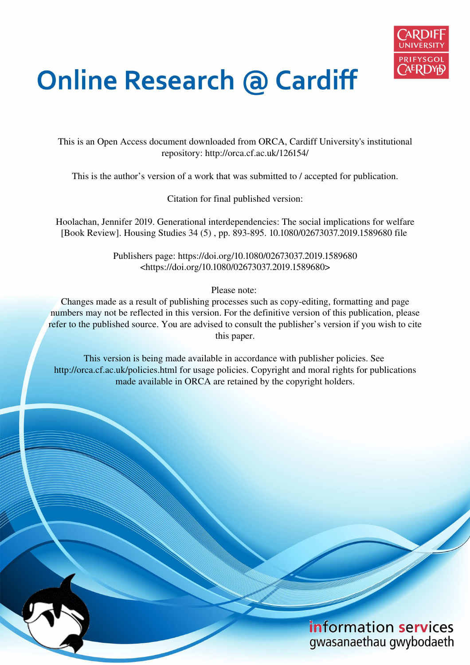

## **Online Research @ Cardiff**

This is an Open Access document downloaded from ORCA, Cardiff University's institutional repository: http://orca.cf.ac.uk/126154/

This is the author's version of a work that was submitted to / accepted for publication.

Citation for final published version:

Hoolachan, Jennifer 2019. Generational interdependencies: The social implications for welfare [Book Review]. Housing Studies 34 (5) , pp. 893-895. 10.1080/02673037.2019.1589680 file

> Publishers page: https://doi.org/10.1080/02673037.2019.1589680 <https://doi.org/10.1080/02673037.2019.1589680>

> > Please note:

Changes made as a result of publishing processes such as copy-editing, formatting and page numbers may not be reflected in this version. For the definitive version of this publication, please refer to the published source. You are advised to consult the publisher's version if you wish to cite this paper.

This version is being made available in accordance with publisher policies. See http://orca.cf.ac.uk/policies.html for usage policies. Copyright and moral rights for publications made available in ORCA are retained by the copyright holders.

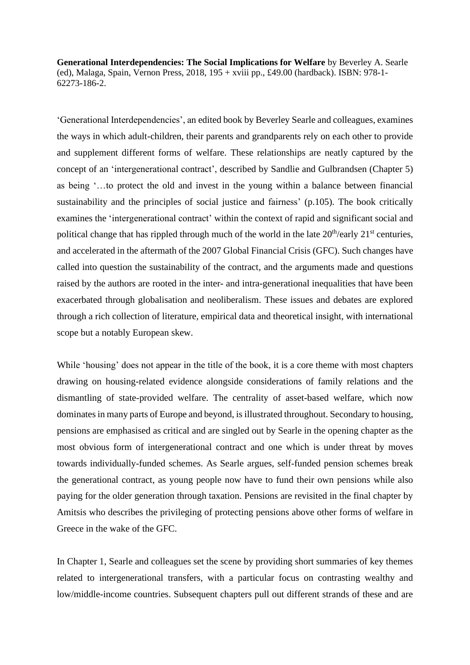**Generational Interdependencies: The Social Implications for Welfare** by Beverley A. Searle (ed), Malaga, Spain, Vernon Press, 2018, 195 + xviii pp., £49.00 (hardback). ISBN: 978-1- 62273-186-2.

'Generational Interdependencies', an edited book by Beverley Searle and colleagues, examines the ways in which adult-children, their parents and grandparents rely on each other to provide and supplement different forms of welfare. These relationships are neatly captured by the concept of an 'intergenerational contract', described by Sandlie and Gulbrandsen (Chapter 5) as being '…to protect the old and invest in the young within a balance between financial sustainability and the principles of social justice and fairness' (p.105). The book critically examines the 'intergenerational contract' within the context of rapid and significant social and political change that has rippled through much of the world in the late  $20<sup>th</sup>/early 21<sup>st</sup>$  centuries, and accelerated in the aftermath of the 2007 Global Financial Crisis (GFC). Such changes have called into question the sustainability of the contract, and the arguments made and questions raised by the authors are rooted in the inter- and intra*-*generational inequalities that have been exacerbated through globalisation and neoliberalism. These issues and debates are explored through a rich collection of literature, empirical data and theoretical insight, with international scope but a notably European skew.

While 'housing' does not appear in the title of the book, it is a core theme with most chapters drawing on housing-related evidence alongside considerations of family relations and the dismantling of state-provided welfare. The centrality of asset-based welfare, which now dominates in many parts of Europe and beyond, is illustrated throughout. Secondary to housing, pensions are emphasised as critical and are singled out by Searle in the opening chapter as the most obvious form of intergenerational contract and one which is under threat by moves towards individually-funded schemes. As Searle argues, self-funded pension schemes break the generational contract, as young people now have to fund their own pensions while also paying for the older generation through taxation. Pensions are revisited in the final chapter by Amitsis who describes the privileging of protecting pensions above other forms of welfare in Greece in the wake of the GFC.

In Chapter 1, Searle and colleagues set the scene by providing short summaries of key themes related to intergenerational transfers, with a particular focus on contrasting wealthy and low/middle-income countries. Subsequent chapters pull out different strands of these and are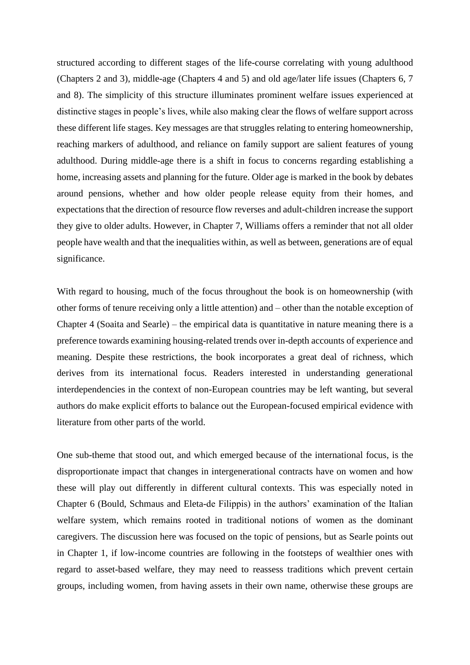structured according to different stages of the life-course correlating with young adulthood (Chapters 2 and 3), middle-age (Chapters 4 and 5) and old age/later life issues (Chapters 6, 7 and 8). The simplicity of this structure illuminates prominent welfare issues experienced at distinctive stages in people's lives, while also making clear the flows of welfare support across these different life stages. Key messages are that struggles relating to entering homeownership, reaching markers of adulthood, and reliance on family support are salient features of young adulthood. During middle-age there is a shift in focus to concerns regarding establishing a home, increasing assets and planning for the future. Older age is marked in the book by debates around pensions, whether and how older people release equity from their homes, and expectations that the direction of resource flow reverses and adult-children increase the support they give to older adults. However, in Chapter 7, Williams offers a reminder that not all older people have wealth and that the inequalities within, as well as between, generations are of equal significance.

With regard to housing, much of the focus throughout the book is on homeownership (with other forms of tenure receiving only a little attention) and – other than the notable exception of Chapter 4 (Soaita and Searle) – the empirical data is quantitative in nature meaning there is a preference towards examining housing-related trends over in-depth accounts of experience and meaning. Despite these restrictions, the book incorporates a great deal of richness, which derives from its international focus. Readers interested in understanding generational interdependencies in the context of non-European countries may be left wanting, but several authors do make explicit efforts to balance out the European-focused empirical evidence with literature from other parts of the world.

One sub-theme that stood out, and which emerged because of the international focus, is the disproportionate impact that changes in intergenerational contracts have on women and how these will play out differently in different cultural contexts. This was especially noted in Chapter 6 (Bould, Schmaus and Eleta-de Filippis) in the authors' examination of the Italian welfare system, which remains rooted in traditional notions of women as the dominant caregivers. The discussion here was focused on the topic of pensions, but as Searle points out in Chapter 1, if low-income countries are following in the footsteps of wealthier ones with regard to asset-based welfare, they may need to reassess traditions which prevent certain groups, including women, from having assets in their own name, otherwise these groups are